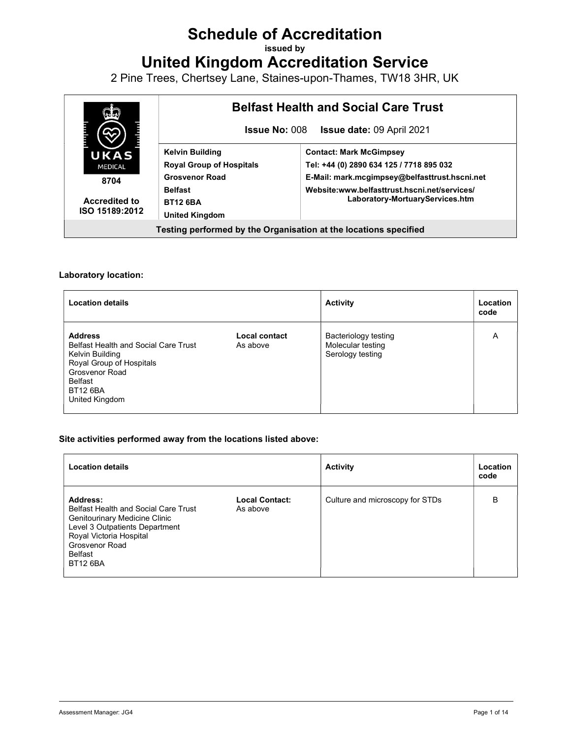# Schedule of Accreditation

issued by

United Kingdom Accreditation Service

2 Pine Trees, Chertsey Lane, Staines-upon-Thames, TW18 3HR, UK



#### Laboratory location:

| <b>Location details</b>                                                                                                                                                        |                           | <b>Activity</b>                                               | Location<br>code |
|--------------------------------------------------------------------------------------------------------------------------------------------------------------------------------|---------------------------|---------------------------------------------------------------|------------------|
| <b>Address</b><br><b>Belfast Health and Social Care Trust</b><br>Kelvin Building<br>Royal Group of Hospitals<br>Grosvenor Road<br>Belfast<br><b>BT12 6BA</b><br>United Kingdom | Local contact<br>As above | Bacteriology testing<br>Molecular testing<br>Serology testing | A                |

#### Site activities performed away from the locations listed above:

| <b>Location details</b>                                                                                                                                                                                      |                                   | <b>Activity</b>                 | Location<br>code |
|--------------------------------------------------------------------------------------------------------------------------------------------------------------------------------------------------------------|-----------------------------------|---------------------------------|------------------|
| Address:<br><b>Belfast Health and Social Care Trust</b><br>Genitourinary Medicine Clinic<br>Level 3 Outpatients Department<br>Royal Victoria Hospital<br><b>Grosvenor Road</b><br>Belfast<br><b>BT12 6BA</b> | <b>Local Contact:</b><br>As above | Culture and microscopy for STDs | B                |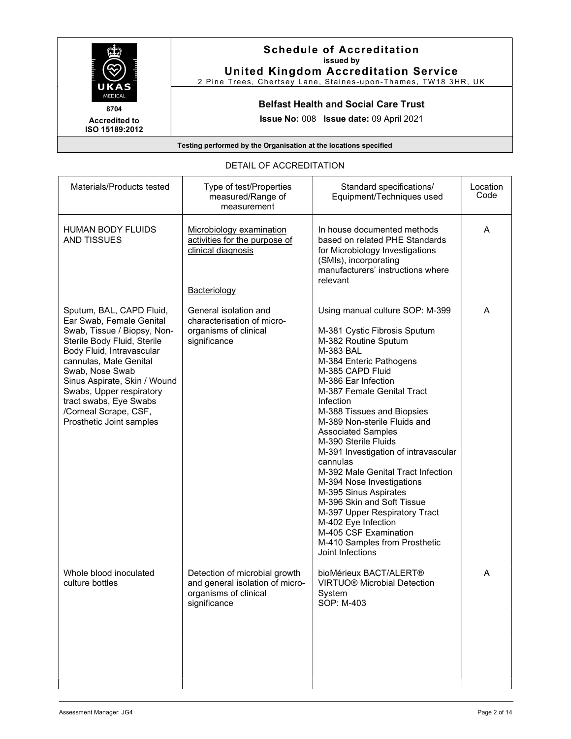

Accredited to ISO 15189:2012

# Schedule of Accreditation issued by

United Kingdom Accreditation Service 2 Pine Trees, Chertsey Lane, Staines-upon-Thames, TW18 3HR, UK

#### Belfast Health and Social Care Trust

Issue No: 008 Issue date: 09 April 2021

Testing performed by the Organisation at the locations specified

## DETAIL OF ACCREDITATION

| Materials/Products tested                                                                                                                                                                                                                                                                                                               | Type of test/Properties<br>measured/Range of<br>measurement                                                  | Standard specifications/<br>Equipment/Techniques used                                                                                                                                                                                                                                                                                                                                                                                                                                                                                                                                                                                                        | Location<br>Code |
|-----------------------------------------------------------------------------------------------------------------------------------------------------------------------------------------------------------------------------------------------------------------------------------------------------------------------------------------|--------------------------------------------------------------------------------------------------------------|--------------------------------------------------------------------------------------------------------------------------------------------------------------------------------------------------------------------------------------------------------------------------------------------------------------------------------------------------------------------------------------------------------------------------------------------------------------------------------------------------------------------------------------------------------------------------------------------------------------------------------------------------------------|------------------|
| <b>HUMAN BODY FLUIDS</b><br><b>AND TISSUES</b>                                                                                                                                                                                                                                                                                          | Microbiology examination<br>activities for the purpose of<br>clinical diagnosis                              | In house documented methods<br>based on related PHE Standards<br>for Microbiology Investigations<br>(SMIs), incorporating<br>manufacturers' instructions where<br>relevant                                                                                                                                                                                                                                                                                                                                                                                                                                                                                   | A                |
| Sputum, BAL, CAPD Fluid,<br>Ear Swab, Female Genital<br>Swab, Tissue / Biopsy, Non-<br>Sterile Body Fluid, Sterile<br>Body Fluid, Intravascular<br>cannulas, Male Genital<br>Swab, Nose Swab<br>Sinus Aspirate, Skin / Wound<br>Swabs, Upper respiratory<br>tract swabs, Eye Swabs<br>/Corneal Scrape, CSF,<br>Prosthetic Joint samples | Bacteriology<br>General isolation and<br>characterisation of micro-<br>organisms of clinical<br>significance | Using manual culture SOP: M-399<br>M-381 Cystic Fibrosis Sputum<br>M-382 Routine Sputum<br>M-383 BAL<br>M-384 Enteric Pathogens<br>M-385 CAPD Fluid<br>M-386 Ear Infection<br>M-387 Female Genital Tract<br>Infection<br>M-388 Tissues and Biopsies<br>M-389 Non-sterile Fluids and<br><b>Associated Samples</b><br>M-390 Sterile Fluids<br>M-391 Investigation of intravascular<br>cannulas<br>M-392 Male Genital Tract Infection<br>M-394 Nose Investigations<br>M-395 Sinus Aspirates<br>M-396 Skin and Soft Tissue<br>M-397 Upper Respiratory Tract<br>M-402 Eye Infection<br>M-405 CSF Examination<br>M-410 Samples from Prosthetic<br>Joint Infections | Α                |
| Whole blood inoculated<br>culture bottles                                                                                                                                                                                                                                                                                               | Detection of microbial growth<br>and general isolation of micro-<br>organisms of clinical<br>significance    | bioMérieux BACT/ALERT®<br><b>VIRTUO® Microbial Detection</b><br>System<br>SOP: M-403                                                                                                                                                                                                                                                                                                                                                                                                                                                                                                                                                                         | A                |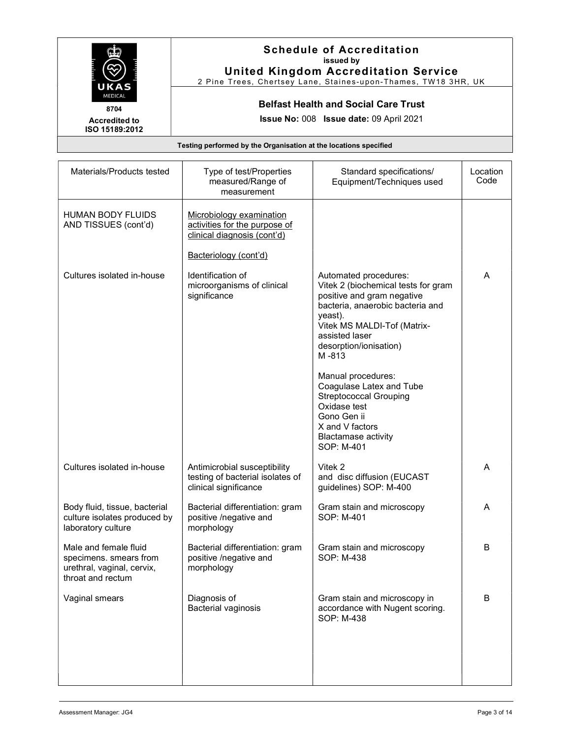|                                                                  | <b>Schedule of Accreditation</b><br>issued by<br><b>United Kingdom Accreditation Service</b><br>2 Pine Trees, Chertsey Lane, Staines-upon-Thames, TW18 3HR, UK |
|------------------------------------------------------------------|----------------------------------------------------------------------------------------------------------------------------------------------------------------|
| UKAS<br><b>MEDICAL</b><br>8704                                   | <b>Belfast Health and Social Care Trust</b>                                                                                                                    |
| <b>Accredited to</b><br>ISO 15189:2012                           | <b>Issue No: 008 Issue date: 09 April 2021</b>                                                                                                                 |
| Testing performed by the Organisation at the locations specified |                                                                                                                                                                |

| Materials/Products tested                                                                          | Type of test/Properties<br>measured/Range of<br>measurement                               | Standard specifications/<br>Equipment/Techniques used                                                                                                                                                                         | Location<br>Code |
|----------------------------------------------------------------------------------------------------|-------------------------------------------------------------------------------------------|-------------------------------------------------------------------------------------------------------------------------------------------------------------------------------------------------------------------------------|------------------|
| <b>HUMAN BODY FLUIDS</b><br>AND TISSUES (cont'd)                                                   | Microbiology examination<br>activities for the purpose of<br>clinical diagnosis (cont'd)  |                                                                                                                                                                                                                               |                  |
|                                                                                                    | Bacteriology (cont'd)                                                                     |                                                                                                                                                                                                                               |                  |
| Cultures isolated in-house                                                                         | Identification of<br>microorganisms of clinical<br>significance                           | Automated procedures:<br>Vitek 2 (biochemical tests for gram<br>positive and gram negative<br>bacteria, anaerobic bacteria and<br>yeast).<br>Vitek MS MALDI-Tof (Matrix-<br>assisted laser<br>desorption/ionisation)<br>M-813 | A                |
|                                                                                                    |                                                                                           | Manual procedures:<br>Coagulase Latex and Tube<br><b>Streptococcal Grouping</b><br>Oxidase test<br>Gono Gen ii<br>X and V factors<br><b>Blactamase activity</b><br>SOP: M-401                                                 |                  |
| Cultures isolated in-house                                                                         | Antimicrobial susceptibility<br>testing of bacterial isolates of<br>clinical significance | Vitek 2<br>and disc diffusion (EUCAST<br>guidelines) SOP: M-400                                                                                                                                                               | A                |
| Body fluid, tissue, bacterial<br>culture isolates produced by<br>laboratory culture                | Bacterial differentiation: gram<br>positive /negative and<br>morphology                   | Gram stain and microscopy<br>SOP: M-401                                                                                                                                                                                       | A                |
| Male and female fluid<br>specimens. smears from<br>urethral, vaginal, cervix,<br>throat and rectum | Bacterial differentiation: gram<br>positive /negative and<br>morphology                   | Gram stain and microscopy<br>SOP: M-438                                                                                                                                                                                       | B                |
| Vaginal smears                                                                                     | Diagnosis of<br>Bacterial vaginosis                                                       | Gram stain and microscopy in<br>accordance with Nugent scoring.<br>SOP: M-438                                                                                                                                                 | B                |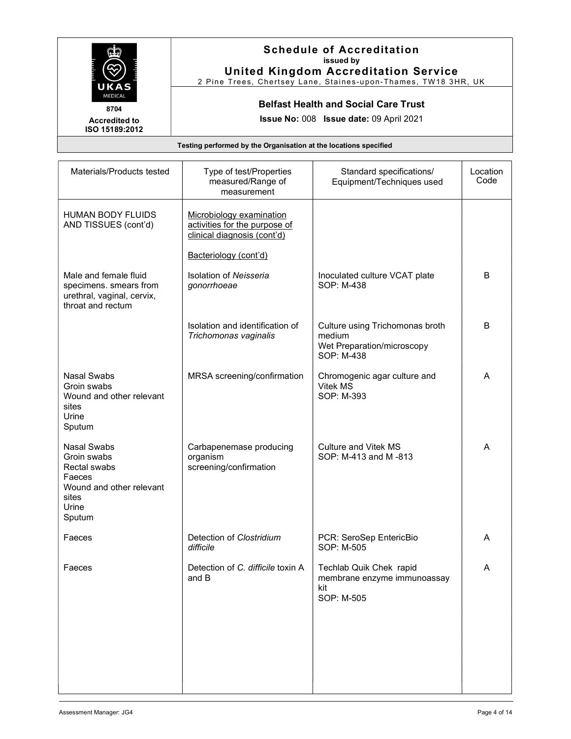| UKAS                                                             | <b>Schedule of Accreditation</b><br>issued by<br><b>United Kingdom Accreditation Service</b><br>2 Pine Trees, Chertsey Lane, Staines-upon-Thames, TW18 3HR, UK |
|------------------------------------------------------------------|----------------------------------------------------------------------------------------------------------------------------------------------------------------|
| <b>MEDICAL</b><br>8704                                           | <b>Belfast Health and Social Care Trust</b>                                                                                                                    |
| <b>Accredited to</b><br>ISO 15189:2012                           | <b>Issue No: 008 Issue date: 09 April 2021</b>                                                                                                                 |
| Testing performed by the Organisation at the locations specified |                                                                                                                                                                |

| Type of test/Properties<br>measured/Range of<br>measurement                              | Standard specifications/<br>Equipment/Techniques used                                 | Location<br>Code |
|------------------------------------------------------------------------------------------|---------------------------------------------------------------------------------------|------------------|
| Microbiology examination<br>activities for the purpose of<br>clinical diagnosis (cont'd) |                                                                                       |                  |
| Bacteriology (cont'd)                                                                    |                                                                                       |                  |
| <b>Isolation of Neisseria</b><br>gonorrhoeae                                             | Inoculated culture VCAT plate<br>SOP: M-438                                           | B                |
| Isolation and identification of<br>Trichomonas vaginalis                                 | Culture using Trichomonas broth<br>medium<br>Wet Preparation/microscopy<br>SOP: M-438 | B                |
| MRSA screening/confirmation                                                              | Chromogenic agar culture and<br>Vitek MS<br>SOP: M-393                                | Α                |
| Carbapenemase producing<br>organism<br>screening/confirmation                            | <b>Culture and Vitek MS</b><br>SOP: M-413 and M-813                                   | A                |
| Detection of Clostridium<br>difficile                                                    | PCR: SeroSep EntericBio<br>SOP: M-505                                                 | A                |
| Detection of C. difficile toxin A<br>and B                                               | Techlab Quik Chek rapid<br>membrane enzyme immunoassay<br>kit<br>SOP: M-505           | Α                |
|                                                                                          |                                                                                       |                  |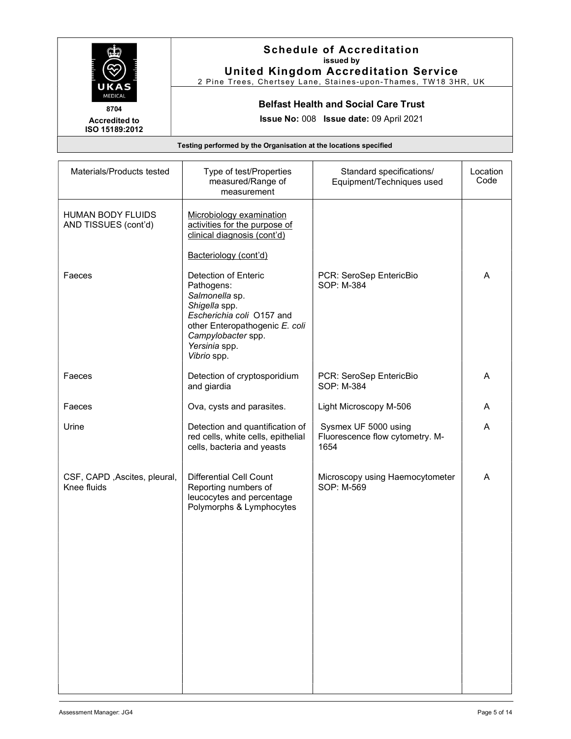|                                                                  | <b>Schedule of Accreditation</b><br>issued by<br><b>United Kingdom Accreditation Service</b><br>2 Pine Trees, Chertsey Lane, Staines-upon-Thames, TW18 3HR, UK |
|------------------------------------------------------------------|----------------------------------------------------------------------------------------------------------------------------------------------------------------|
| UKAS<br><b>MEDICAL</b><br>8704                                   | <b>Belfast Health and Social Care Trust</b>                                                                                                                    |
| <b>Accredited to</b><br>ISO 15189:2012                           | <b>Issue No: 008 Issue date: 09 April 2021</b>                                                                                                                 |
| Testing performed by the Organisation at the locations specified |                                                                                                                                                                |

| Materials/Products tested                   | Type of test/Properties<br>measured/Range of<br>measurement                                                                                                                                | Standard specifications/<br>Equipment/Techniques used           | Location<br>Code |
|---------------------------------------------|--------------------------------------------------------------------------------------------------------------------------------------------------------------------------------------------|-----------------------------------------------------------------|------------------|
| HUMAN BODY FLUIDS<br>AND TISSUES (cont'd)   | Microbiology examination<br>activities for the purpose of<br>clinical diagnosis (cont'd)<br>Bacteriology (cont'd)                                                                          |                                                                 |                  |
| Faeces                                      | Detection of Enteric<br>Pathogens:<br>Salmonella sp.<br>Shigella spp.<br>Escherichia coli O157 and<br>other Enteropathogenic E. coli<br>Campylobacter spp.<br>Yersinia spp.<br>Vibrio spp. | PCR: SeroSep EntericBio<br>SOP: M-384                           | A                |
| Faeces                                      | Detection of cryptosporidium<br>and giardia                                                                                                                                                | PCR: SeroSep EntericBio<br>SOP: M-384                           | A                |
| Faeces                                      | Ova, cysts and parasites.                                                                                                                                                                  | Light Microscopy M-506                                          | A                |
| Urine                                       | Detection and quantification of<br>red cells, white cells, epithelial<br>cells, bacteria and yeasts                                                                                        | Sysmex UF 5000 using<br>Fluorescence flow cytometry. M-<br>1654 | A                |
| CSF, CAPD, Ascites, pleural,<br>Knee fluids | <b>Differential Cell Count</b><br>Reporting numbers of<br>leucocytes and percentage<br>Polymorphs & Lymphocytes                                                                            | Microscopy using Haemocytometer<br>SOP: M-569                   | A                |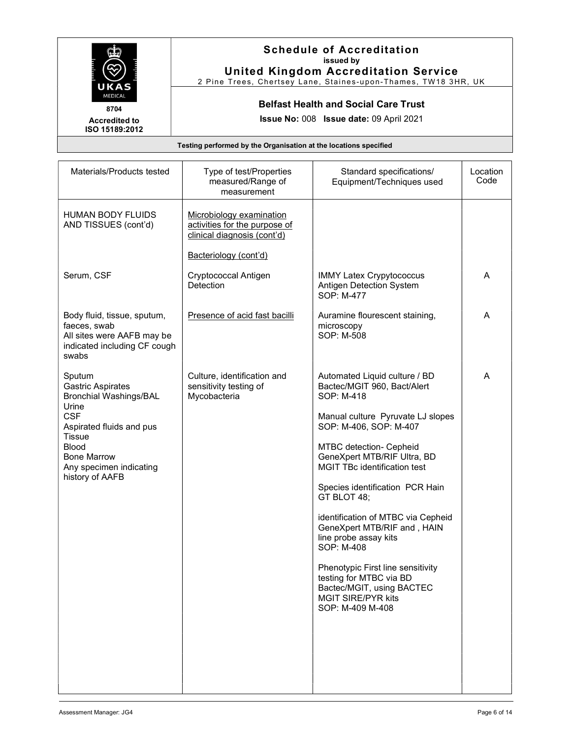| UKAS                                   | <b>Schedule of Accreditation</b><br>issued by<br><b>United Kingdom Accreditation Service</b><br>2 Pine Trees, Chertsey Lane, Staines-upon-Thames, TW18 3HR, UK |
|----------------------------------------|----------------------------------------------------------------------------------------------------------------------------------------------------------------|
| <b>MEDICAL</b><br>8704                 | <b>Belfast Health and Social Care Trust</b>                                                                                                                    |
| <b>Accredited to</b><br>ISO 15189:2012 | Issue No: 008 Issue date: 09 April 2021                                                                                                                        |
|                                        | Testing performed by the Organisation at the locations specified                                                                                               |

| Materials/Products tested                                                                                                                                                                                                   | Type of test/Properties<br>measured/Range of<br>measurement                              | Standard specifications/<br>Equipment/Techniques used                                                                                                                                                                                                                                                                                                                                                                                                                                                                                                  | Location<br>Code |
|-----------------------------------------------------------------------------------------------------------------------------------------------------------------------------------------------------------------------------|------------------------------------------------------------------------------------------|--------------------------------------------------------------------------------------------------------------------------------------------------------------------------------------------------------------------------------------------------------------------------------------------------------------------------------------------------------------------------------------------------------------------------------------------------------------------------------------------------------------------------------------------------------|------------------|
| <b>HUMAN BODY FLUIDS</b><br>AND TISSUES (cont'd)                                                                                                                                                                            | Microbiology examination<br>activities for the purpose of<br>clinical diagnosis (cont'd) |                                                                                                                                                                                                                                                                                                                                                                                                                                                                                                                                                        |                  |
|                                                                                                                                                                                                                             | Bacteriology (cont'd)                                                                    |                                                                                                                                                                                                                                                                                                                                                                                                                                                                                                                                                        |                  |
| Serum, CSF                                                                                                                                                                                                                  | Cryptococcal Antigen<br>Detection                                                        | <b>IMMY Latex Crypytococcus</b><br>Antigen Detection System<br>SOP: M-477                                                                                                                                                                                                                                                                                                                                                                                                                                                                              | A                |
| Body fluid, tissue, sputum,<br>faeces, swab<br>All sites were AAFB may be<br>indicated including CF cough<br>swabs                                                                                                          | Presence of acid fast bacilli                                                            | Auramine flourescent staining,<br>microscopy<br>SOP: M-508                                                                                                                                                                                                                                                                                                                                                                                                                                                                                             | Α                |
| Sputum<br><b>Gastric Aspirates</b><br><b>Bronchial Washings/BAL</b><br>Urine<br><b>CSF</b><br>Aspirated fluids and pus<br><b>Tissue</b><br><b>Blood</b><br><b>Bone Marrow</b><br>Any specimen indicating<br>history of AAFB | Culture, identification and<br>sensitivity testing of<br>Mycobacteria                    | Automated Liquid culture / BD<br>Bactec/MGIT 960, Bact/Alert<br>SOP: M-418<br>Manual culture Pyruvate LJ slopes<br>SOP: M-406, SOP: M-407<br>MTBC detection- Cepheid<br>GeneXpert MTB/RIF Ultra, BD<br><b>MGIT TBc identification test</b><br>Species identification PCR Hain<br>GT BLOT 48;<br>identification of MTBC via Cepheid<br>GeneXpert MTB/RIF and, HAIN<br>line probe assay kits<br>SOP: M-408<br>Phenotypic First line sensitivity<br>testing for MTBC via BD<br>Bactec/MGIT, using BACTEC<br><b>MGIT SIRE/PYR kits</b><br>SOP: M-409 M-408 | A                |
|                                                                                                                                                                                                                             |                                                                                          |                                                                                                                                                                                                                                                                                                                                                                                                                                                                                                                                                        |                  |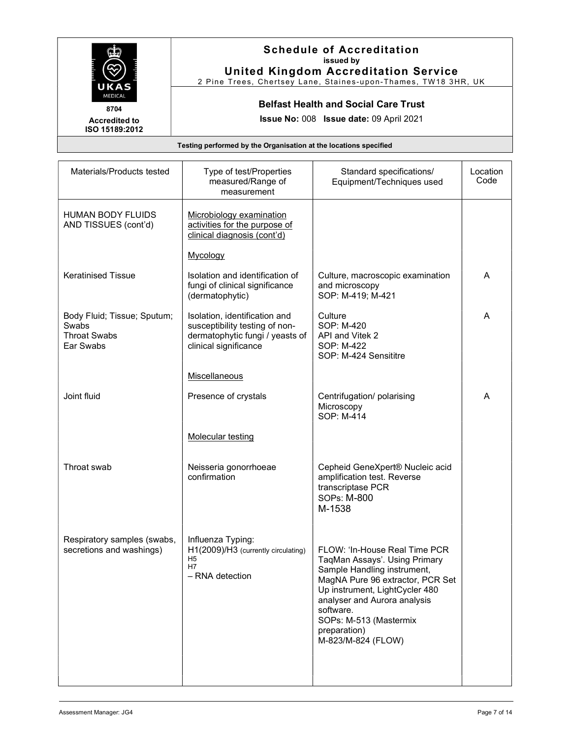|                                        | <b>Schedule of Accreditation</b><br>issued by<br><b>United Kingdom Accreditation Service</b><br>2 Pine Trees, Chertsey Lane, Staines-upon-Thames, TW18 3HR, UK |
|----------------------------------------|----------------------------------------------------------------------------------------------------------------------------------------------------------------|
| UKAS<br><b>MEDICAL</b><br>8704         | <b>Belfast Health and Social Care Trust</b><br>Issue No: 008 Issue date: 09 April 2021                                                                         |
| <b>Accredited to</b><br>ISO 15189:2012 |                                                                                                                                                                |
|                                        | Testing performed by the Organisation at the locations specified                                                                                               |

| Materials/Products tested                                                | Type of test/Properties<br>measured/Range of<br>measurement                                                                 | Standard specifications/<br>Equipment/Techniques used                                                                                                                                                                                                                            | Location<br>Code |
|--------------------------------------------------------------------------|-----------------------------------------------------------------------------------------------------------------------------|----------------------------------------------------------------------------------------------------------------------------------------------------------------------------------------------------------------------------------------------------------------------------------|------------------|
| <b>HUMAN BODY FLUIDS</b><br>AND TISSUES (cont'd)                         | Microbiology examination<br>activities for the purpose of<br>clinical diagnosis (cont'd)                                    |                                                                                                                                                                                                                                                                                  |                  |
|                                                                          | Mycology                                                                                                                    |                                                                                                                                                                                                                                                                                  |                  |
| <b>Keratinised Tissue</b>                                                | Isolation and identification of<br>fungi of clinical significance<br>(dermatophytic)                                        | Culture, macroscopic examination<br>and microscopy<br>SOP: M-419; M-421                                                                                                                                                                                                          | A                |
| Body Fluid; Tissue; Sputum;<br>Swabs<br><b>Throat Swabs</b><br>Ear Swabs | Isolation, identification and<br>susceptibility testing of non-<br>dermatophytic fungi / yeasts of<br>clinical significance | Culture<br>SOP: M-420<br>API and Vitek 2<br>SOP: M-422<br>SOP: M-424 Sensititre                                                                                                                                                                                                  | A                |
|                                                                          | Miscellaneous                                                                                                               |                                                                                                                                                                                                                                                                                  |                  |
| Joint fluid                                                              | Presence of crystals                                                                                                        | Centrifugation/ polarising<br>Microscopy<br>SOP: M-414                                                                                                                                                                                                                           | A                |
|                                                                          | <b>Molecular testing</b>                                                                                                    |                                                                                                                                                                                                                                                                                  |                  |
| Throat swab                                                              | Neisseria gonorrhoeae<br>confirmation                                                                                       | Cepheid GeneXpert® Nucleic acid<br>amplification test. Reverse<br>transcriptase PCR<br><b>SOPs: M-800</b><br>M-1538                                                                                                                                                              |                  |
| Respiratory samples (swabs,<br>secretions and washings)                  | Influenza Typing:<br>H1(2009)/H3 (currently circulating)<br>H5<br>H7<br>- RNA detection                                     | FLOW: 'In-House Real Time PCR<br>TaqMan Assays'. Using Primary<br>Sample Handling instrument,<br>MagNA Pure 96 extractor, PCR Set<br>Up instrument, LightCycler 480<br>analyser and Aurora analysis<br>software.<br>SOPs: M-513 (Mastermix<br>preparation)<br>M-823/M-824 (FLOW) |                  |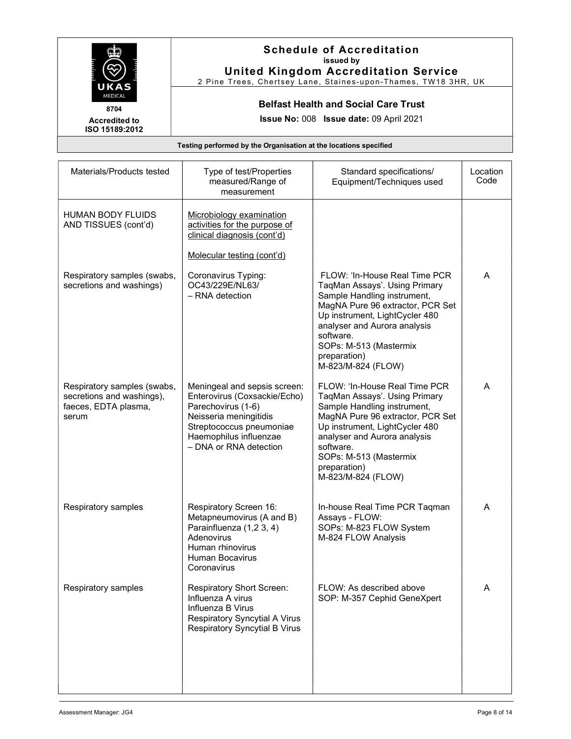|                                                        | <b>Schedule of Accreditation</b><br>issued by<br><b>United Kingdom Accreditation Service</b><br>2 Pine Trees, Chertsey Lane, Staines-upon-Thames, TW18 3HR, UK |
|--------------------------------------------------------|----------------------------------------------------------------------------------------------------------------------------------------------------------------|
| UKAS<br><b>MEDICAL</b><br>8704<br><b>Accredited to</b> | <b>Belfast Health and Social Care Trust</b><br><b>Issue No: 008 Issue date: 09 April 2021</b>                                                                  |
| ISO 15189:2012                                         |                                                                                                                                                                |
|                                                        | Testing performed by the Organisation at the locations specified                                                                                               |

| Materials/Products tested                                                                 | Type of test/Properties<br>measured/Range of<br>measurement                                                                                                                                  | Standard specifications/<br>Equipment/Techniques used                                                                                                                                                                                                                            | Location<br>Code |
|-------------------------------------------------------------------------------------------|----------------------------------------------------------------------------------------------------------------------------------------------------------------------------------------------|----------------------------------------------------------------------------------------------------------------------------------------------------------------------------------------------------------------------------------------------------------------------------------|------------------|
| <b>HUMAN BODY FLUIDS</b><br>AND TISSUES (cont'd)                                          | Microbiology examination<br>activities for the purpose of<br>clinical diagnosis (cont'd)                                                                                                     |                                                                                                                                                                                                                                                                                  |                  |
|                                                                                           | Molecular testing (cont'd)                                                                                                                                                                   |                                                                                                                                                                                                                                                                                  |                  |
| Respiratory samples (swabs,<br>secretions and washings)                                   | Coronavirus Typing:<br>OC43/229E/NL63/<br>- RNA detection                                                                                                                                    | FLOW: 'In-House Real Time PCR<br>TaqMan Assays'. Using Primary<br>Sample Handling instrument,<br>MagNA Pure 96 extractor, PCR Set<br>Up instrument, LightCycler 480<br>analyser and Aurora analysis<br>software.<br>SOPs: M-513 (Mastermix<br>preparation)<br>M-823/M-824 (FLOW) | A                |
| Respiratory samples (swabs,<br>secretions and washings),<br>faeces, EDTA plasma,<br>serum | Meningeal and sepsis screen:<br>Enterovirus (Coxsackie/Echo)<br>Parechovirus (1-6)<br>Neisseria meningitidis<br>Streptococcus pneumoniae<br>Haemophilus influenzae<br>- DNA or RNA detection | FLOW: 'In-House Real Time PCR<br>TaqMan Assays'. Using Primary<br>Sample Handling instrument,<br>MagNA Pure 96 extractor, PCR Set<br>Up instrument, LightCycler 480<br>analyser and Aurora analysis<br>software.<br>SOPs: M-513 (Mastermix<br>preparation)<br>M-823/M-824 (FLOW) | A                |
| Respiratory samples                                                                       | Respiratory Screen 16:<br>Metapneumovirus (A and B)<br>Parainfluenza (1,2 3, 4)<br>Adenovirus<br>Human rhinovirus<br><b>Human Bocavirus</b><br>Coronavirus                                   | In-house Real Time PCR Taqman<br>Assays - FLOW:<br>SOPs: M-823 FLOW System<br>M-824 FLOW Analysis                                                                                                                                                                                | A                |
| Respiratory samples                                                                       | Respiratory Short Screen:<br>Influenza A virus<br>Influenza B Virus<br><b>Respiratory Syncytial A Virus</b><br><b>Respiratory Syncytial B Virus</b>                                          | FLOW: As described above<br>SOP: M-357 Cephid GeneXpert                                                                                                                                                                                                                          | A                |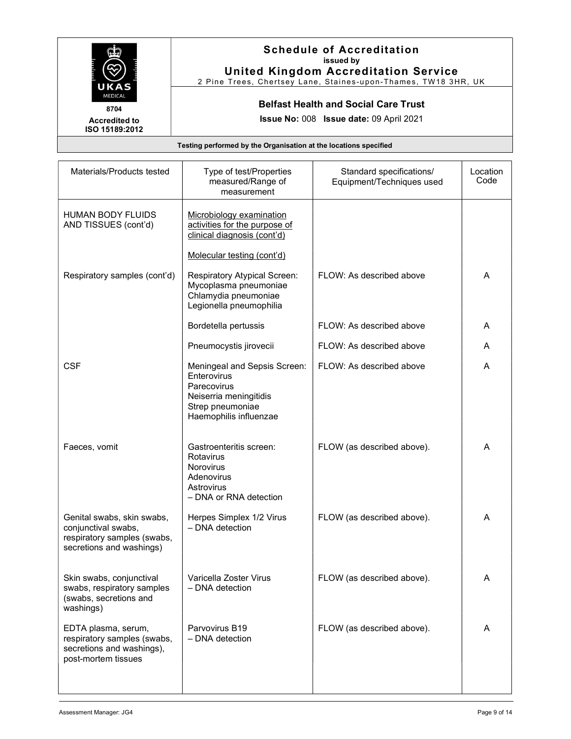|                                                        | <b>Schedule of Accreditation</b><br>issued by<br><b>United Kingdom Accreditation Service</b><br>2 Pine Trees, Chertsey Lane, Staines-upon-Thames, TW18 3HR, UK |
|--------------------------------------------------------|----------------------------------------------------------------------------------------------------------------------------------------------------------------|
| UKAS<br><b>MEDICAL</b><br>8704<br><b>Accredited to</b> | <b>Belfast Health and Social Care Trust</b><br><b>Issue No: 008 Issue date: 09 April 2021</b>                                                                  |
| ISO 15189:2012                                         |                                                                                                                                                                |
|                                                        | Testing performed by the Organisation at the locations specified                                                                                               |

| Materials/Products tested                                                                                    | Type of test/Properties<br>measured/Range of<br>measurement                                                                        | Standard specifications/<br>Equipment/Techniques used | Location<br>Code |
|--------------------------------------------------------------------------------------------------------------|------------------------------------------------------------------------------------------------------------------------------------|-------------------------------------------------------|------------------|
| <b>HUMAN BODY FLUIDS</b><br>AND TISSUES (cont'd)                                                             | Microbiology examination<br>activities for the purpose of<br>clinical diagnosis (cont'd)                                           |                                                       |                  |
|                                                                                                              | Molecular testing (cont'd)                                                                                                         |                                                       |                  |
| Respiratory samples (cont'd)                                                                                 | Respiratory Atypical Screen:<br>Mycoplasma pneumoniae<br>Chlamydia pneumoniae<br>Legionella pneumophilia                           | FLOW: As described above                              | A                |
|                                                                                                              | Bordetella pertussis                                                                                                               | FLOW: As described above                              | A                |
|                                                                                                              | Pneumocystis jirovecii                                                                                                             | FLOW: As described above                              | A                |
| <b>CSF</b>                                                                                                   | Meningeal and Sepsis Screen:<br>Enterovirus<br>Parecovirus<br>Neiserria meningitidis<br>Strep pneumoniae<br>Haemophilis influenzae | FLOW: As described above                              | A                |
| Faeces, vomit                                                                                                | Gastroenteritis screen:<br>Rotavirus<br><b>Norovirus</b><br>Adenovirus<br>Astrovirus<br>- DNA or RNA detection                     | FLOW (as described above).                            | A                |
| Genital swabs, skin swabs,<br>conjunctival swabs,<br>respiratory samples (swabs,<br>secretions and washings) | Herpes Simplex 1/2 Virus<br>- DNA detection                                                                                        | FLOW (as described above).                            | A                |
| Skin swabs, conjunctival<br>swabs, respiratory samples<br>(swabs, secretions and<br>washings)                | Varicella Zoster Virus<br>$-$ DNA detection                                                                                        | FLOW (as described above).                            | A                |
| EDTA plasma, serum,<br>respiratory samples (swabs,<br>secretions and washings),<br>post-mortem tissues       | Parvovirus B19<br>$-$ DNA detection                                                                                                | FLOW (as described above).                            | A                |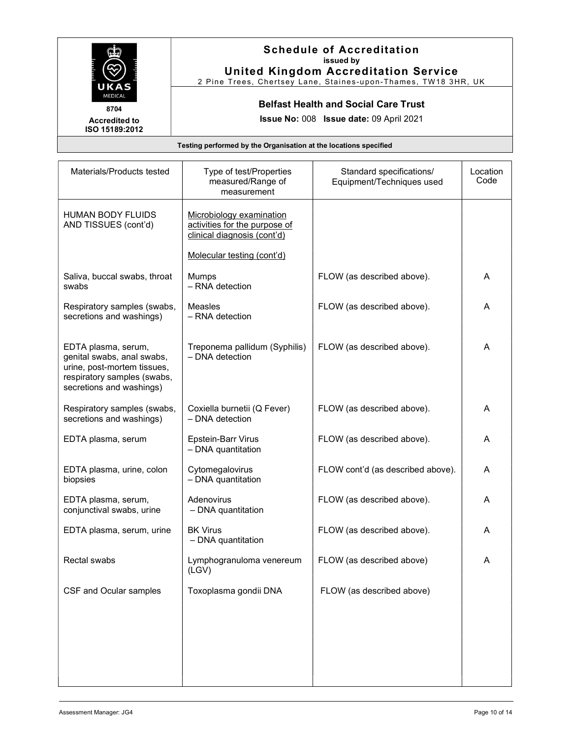

Accredited to

## Schedule of Accreditation issued by United Kingdom Accreditation Service

2 Pine Trees, Chertsey Lane, Staines-upon-Thames, TW18 3HR, UK

#### Belfast Health and Social Care Trust

Issue No: 008 Issue date: 09 April 2021

ISO 15189:2012

Testing performed by the Organisation at the locations specified

| Materials/Products tested                                                                                                                   | Type of test/Properties<br>measured/Range of<br>measurement                              | Standard specifications/<br>Equipment/Techniques used | Location<br>Code |
|---------------------------------------------------------------------------------------------------------------------------------------------|------------------------------------------------------------------------------------------|-------------------------------------------------------|------------------|
| <b>HUMAN BODY FLUIDS</b><br>AND TISSUES (cont'd)                                                                                            | Microbiology examination<br>activities for the purpose of<br>clinical diagnosis (cont'd) |                                                       |                  |
|                                                                                                                                             | Molecular testing (cont'd)                                                               |                                                       |                  |
| Saliva, buccal swabs, throat<br>swabs                                                                                                       | Mumps<br>- RNA detection                                                                 | FLOW (as described above).                            | A                |
| Respiratory samples (swabs,<br>secretions and washings)                                                                                     | <b>Measles</b><br>- RNA detection                                                        | FLOW (as described above).                            | A                |
| EDTA plasma, serum,<br>genital swabs, anal swabs,<br>urine, post-mortem tissues,<br>respiratory samples (swabs,<br>secretions and washings) | Treponema pallidum (Syphilis)<br>- DNA detection                                         | FLOW (as described above).                            | A                |
| Respiratory samples (swabs,<br>secretions and washings)                                                                                     | Coxiella burnetii (Q Fever)<br>- DNA detection                                           | FLOW (as described above).                            | A                |
| EDTA plasma, serum                                                                                                                          | Epstein-Barr Virus<br>- DNA quantitation                                                 | FLOW (as described above).                            | A                |
| EDTA plasma, urine, colon<br>biopsies                                                                                                       | Cytomegalovirus<br>- DNA quantitation                                                    | FLOW cont'd (as described above).                     | A                |
| EDTA plasma, serum,<br>conjunctival swabs, urine                                                                                            | Adenovirus<br>- DNA quantitation                                                         | FLOW (as described above).                            | A                |
| EDTA plasma, serum, urine                                                                                                                   | <b>BK Virus</b><br>- DNA quantitation                                                    | FLOW (as described above).                            | A                |
| Rectal swabs                                                                                                                                | Lymphogranuloma venereum<br>(LGV)                                                        | FLOW (as described above)                             | A                |
| CSF and Ocular samples                                                                                                                      | Toxoplasma gondii DNA                                                                    | FLOW (as described above)                             |                  |
|                                                                                                                                             |                                                                                          |                                                       |                  |
|                                                                                                                                             |                                                                                          |                                                       |                  |
|                                                                                                                                             |                                                                                          |                                                       |                  |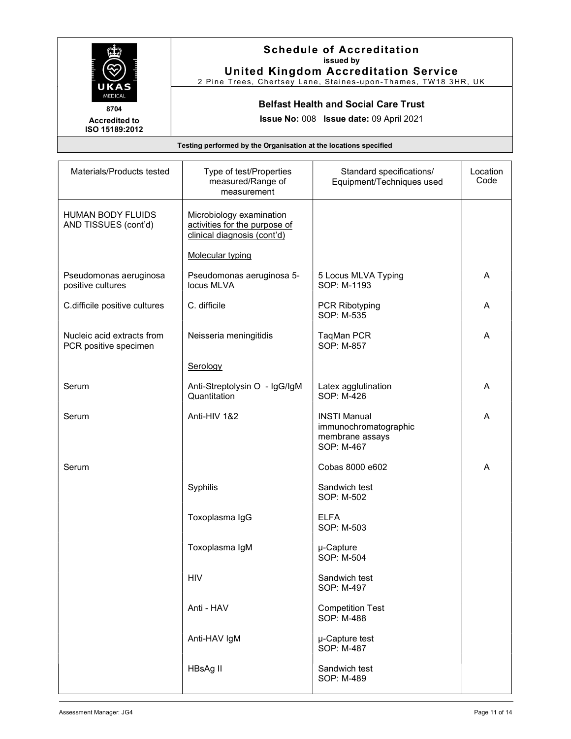| UKAS<br><b>MEDICAL</b><br>8704<br><b>Accredited to</b><br>ISO 15189:2012 | <b>Schedule of Accreditation</b><br>issued by<br><b>United Kingdom Accreditation Service</b><br>2 Pine Trees, Chertsey Lane, Staines-upon-Thames, TW18 3HR, UK |
|--------------------------------------------------------------------------|----------------------------------------------------------------------------------------------------------------------------------------------------------------|
|                                                                          | <b>Belfast Health and Social Care Trust</b><br><b>Issue No: 008 Issue date: 09 April 2021</b>                                                                  |

| Testing performed by the Organisation at the locations specified |                                                                                          |                                                                               |                  |
|------------------------------------------------------------------|------------------------------------------------------------------------------------------|-------------------------------------------------------------------------------|------------------|
| Materials/Products tested                                        | Type of test/Properties<br>measured/Range of<br>measurement                              | Standard specifications/<br>Equipment/Techniques used                         | Location<br>Code |
| <b>HUMAN BODY FLUIDS</b><br>AND TISSUES (cont'd)                 | Microbiology examination<br>activities for the purpose of<br>clinical diagnosis (cont'd) |                                                                               |                  |
|                                                                  | <b>Molecular typing</b>                                                                  |                                                                               |                  |
| Pseudomonas aeruginosa<br>positive cultures                      | Pseudomonas aeruginosa 5-<br>locus MLVA                                                  | 5 Locus MLVA Typing<br>SOP: M-1193                                            | Α                |
| C.difficile positive cultures                                    | C. difficile                                                                             | <b>PCR Ribotyping</b><br>SOP: M-535                                           | Α                |
| Nucleic acid extracts from<br>PCR positive specimen              | Neisseria meningitidis                                                                   | TaqMan PCR<br>SOP: M-857                                                      | A                |
|                                                                  | Serology                                                                                 |                                                                               |                  |
| Serum                                                            | Anti-Streptolysin O - IgG/IgM<br>Quantitation                                            | Latex agglutination<br>SOP: M-426                                             | A                |
| Serum                                                            | Anti-HIV 1&2                                                                             | <b>INSTI Manual</b><br>immunochromatographic<br>membrane assays<br>SOP: M-467 | A                |
| Serum                                                            |                                                                                          | Cobas 8000 e602                                                               | Α                |
|                                                                  | Syphilis                                                                                 | Sandwich test<br>SOP: M-502                                                   |                  |
|                                                                  | Toxoplasma IgG                                                                           | <b>ELFA</b><br>SOP: M-503                                                     |                  |
|                                                                  | Toxoplasma IgM                                                                           | µ-Capture<br>SOP: M-504                                                       |                  |
|                                                                  | <b>HIV</b>                                                                               | Sandwich test<br>SOP: M-497                                                   |                  |
|                                                                  | Anti - HAV                                                                               | <b>Competition Test</b><br>SOP: M-488                                         |                  |
|                                                                  | Anti-HAV IgM                                                                             | µ-Capture test<br>SOP: M-487                                                  |                  |
|                                                                  | HBsAg II                                                                                 | Sandwich test<br>SOP: M-489                                                   |                  |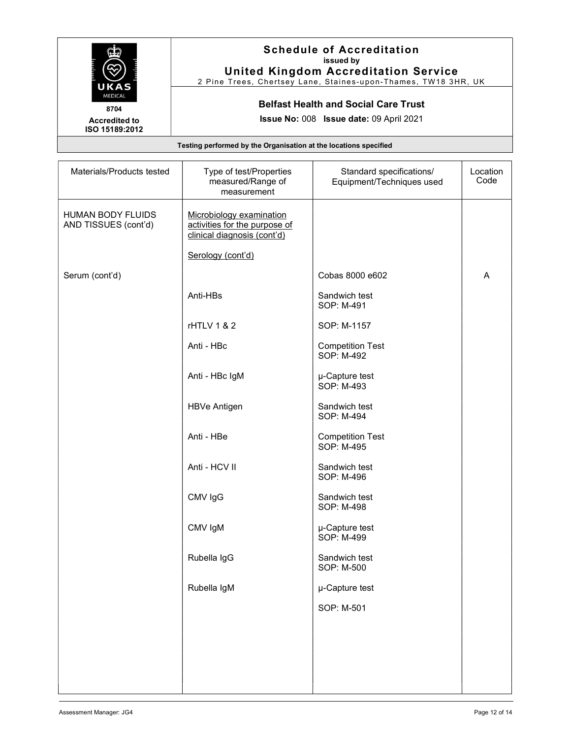|                                                                  | <b>Schedule of Accreditation</b><br>issued by<br><b>United Kingdom Accreditation Service</b> |  |
|------------------------------------------------------------------|----------------------------------------------------------------------------------------------|--|
| UKAS                                                             | 2 Pine Trees, Chertsey Lane, Staines-upon-Thames, TW18 3HR, UK                               |  |
| <b>MEDICAL</b><br>8704                                           | <b>Belfast Health and Social Care Trust</b>                                                  |  |
| <b>Accredited to</b><br>ISO 15189:2012                           | <b>Issue No: 008 Issue date: 09 April 2021</b>                                               |  |
| Testing performed by the Organisation at the locations specified |                                                                                              |  |

| Materials/Products tested                 | Type of test/Properties<br>measured/Range of<br>measurement                              | Standard specifications/<br>Equipment/Techniques used | Location<br>Code |
|-------------------------------------------|------------------------------------------------------------------------------------------|-------------------------------------------------------|------------------|
| HUMAN BODY FLUIDS<br>AND TISSUES (cont'd) | Microbiology examination<br>activities for the purpose of<br>clinical diagnosis (cont'd) |                                                       |                  |
|                                           | Serology (cont'd)                                                                        |                                                       |                  |
| Serum (cont'd)                            |                                                                                          | Cobas 8000 e602                                       | A                |
|                                           | Anti-HBs                                                                                 | Sandwich test<br>SOP: M-491                           |                  |
|                                           | rHTLV 1 & 2                                                                              | SOP: M-1157                                           |                  |
|                                           | Anti - HBc                                                                               | <b>Competition Test</b><br>SOP: M-492                 |                  |
|                                           | Anti - HBc IgM                                                                           | µ-Capture test<br>SOP: M-493                          |                  |
|                                           | <b>HBVe Antigen</b>                                                                      | Sandwich test<br>SOP: M-494                           |                  |
|                                           | Anti - HBe                                                                               | <b>Competition Test</b><br>SOP: M-495                 |                  |
|                                           | Anti - HCV II                                                                            | Sandwich test<br>SOP: M-496                           |                  |
|                                           | CMV IgG                                                                                  | Sandwich test<br>SOP: M-498                           |                  |
|                                           | CMV IgM                                                                                  | µ-Capture test<br>SOP: M-499                          |                  |
|                                           | Rubella IgG                                                                              | Sandwich test<br>SOP: M-500                           |                  |
|                                           | Rubella IgM                                                                              | µ-Capture test                                        |                  |
|                                           |                                                                                          | SOP: M-501                                            |                  |
|                                           |                                                                                          |                                                       |                  |
|                                           |                                                                                          |                                                       |                  |
|                                           |                                                                                          |                                                       |                  |
|                                           |                                                                                          |                                                       |                  |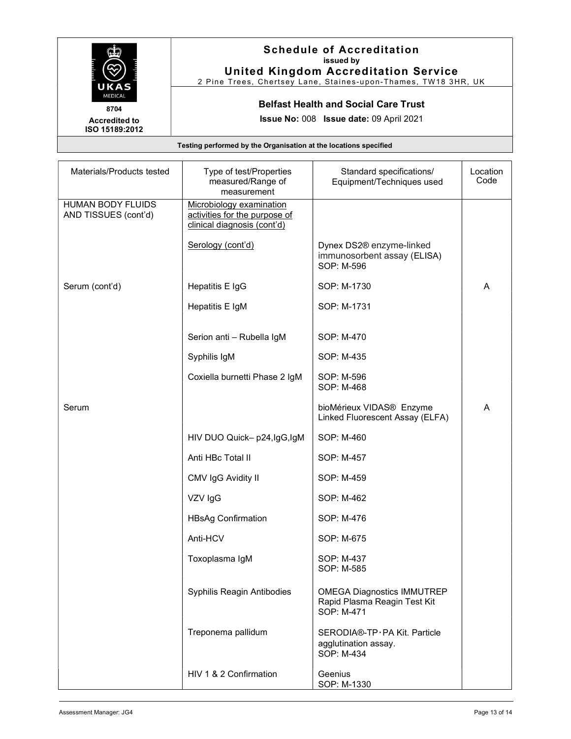|                                                                          | <b>Schedule of Accreditation</b><br>issued by<br><b>United Kingdom Accreditation Service</b><br>2 Pine Trees, Chertsey Lane, Staines-upon-Thames, TW18 3HR, UK |
|--------------------------------------------------------------------------|----------------------------------------------------------------------------------------------------------------------------------------------------------------|
| UKAS<br><b>MEDICAL</b><br>8704<br><b>Accredited to</b><br>ISO 15189:2012 | <b>Belfast Health and Social Care Trust</b><br><b>Issue No: 008 Issue date: 09 April 2021</b>                                                                  |
|                                                                          | Testing performed by the Organisation at the locations specified                                                                                               |

| Materials/Products tested                        | Type of test/Properties<br>measured/Range of<br>measurement                              | Standard specifications/<br>Equipment/Techniques used                           | Location<br>Code |
|--------------------------------------------------|------------------------------------------------------------------------------------------|---------------------------------------------------------------------------------|------------------|
| <b>HUMAN BODY FLUIDS</b><br>AND TISSUES (cont'd) | Microbiology examination<br>activities for the purpose of<br>clinical diagnosis (cont'd) |                                                                                 |                  |
|                                                  | Serology (cont'd)                                                                        | Dynex DS2® enzyme-linked<br>immunosorbent assay (ELISA)<br>SOP: M-596           |                  |
| Serum (cont'd)                                   | Hepatitis E IgG                                                                          | SOP: M-1730                                                                     | Α                |
|                                                  | Hepatitis E IgM                                                                          | SOP: M-1731                                                                     |                  |
|                                                  | Serion anti - Rubella IgM                                                                | SOP: M-470                                                                      |                  |
|                                                  | Syphilis IgM                                                                             | SOP: M-435                                                                      |                  |
|                                                  | Coxiella burnetti Phase 2 IgM                                                            | SOP: M-596<br>SOP: M-468                                                        |                  |
| Serum                                            |                                                                                          | bioMérieux VIDAS® Enzyme<br>Linked Fluorescent Assay (ELFA)                     | A                |
|                                                  | HIV DUO Quick- p24, lgG, lgM                                                             | SOP: M-460                                                                      |                  |
|                                                  | Anti HBc Total II                                                                        | SOP: M-457                                                                      |                  |
|                                                  | CMV IgG Avidity II                                                                       | SOP: M-459                                                                      |                  |
|                                                  | VZV IgG                                                                                  | SOP: M-462                                                                      |                  |
|                                                  | <b>HBsAg Confirmation</b>                                                                | SOP: M-476                                                                      |                  |
|                                                  | Anti-HCV                                                                                 | SOP: M-675                                                                      |                  |
|                                                  | Toxoplasma IgM                                                                           | SOP: M-437<br>SOP: M-585                                                        |                  |
|                                                  | Syphilis Reagin Antibodies                                                               | <b>OMEGA Diagnostics IMMUTREP</b><br>Rapid Plasma Reagin Test Kit<br>SOP: M-471 |                  |
|                                                  | Treponema pallidum                                                                       | SERODIA®-TP·PA Kit. Particle<br>agglutination assay.<br>SOP: M-434              |                  |
|                                                  | HIV 1 & 2 Confirmation                                                                   | Geenius<br>SOP: M-1330                                                          |                  |